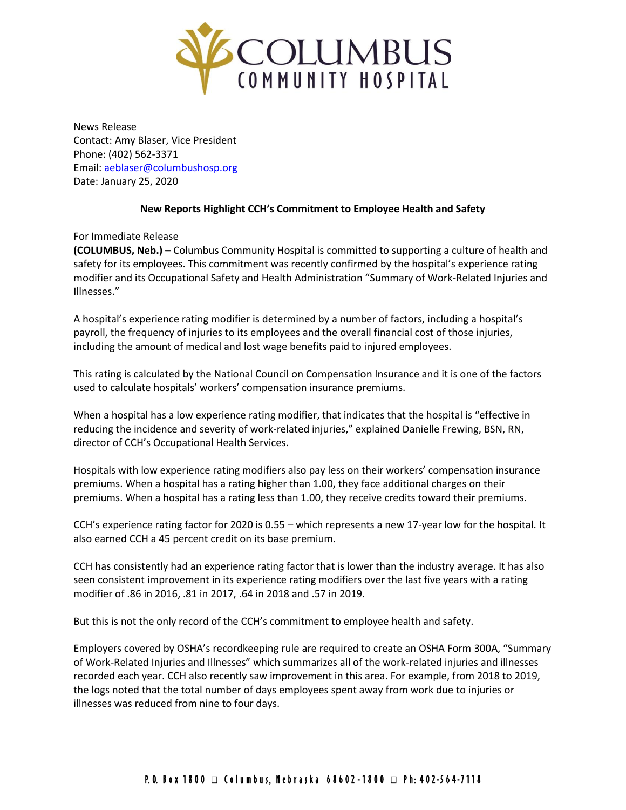

News Release Contact: Amy Blaser, Vice President Phone: (402) 562-3371 Email: [aeblaser@columbushosp.org](mailto:aeblaser@columbushosp.org) Date: January 25, 2020

## **New Reports Highlight CCH's Commitment to Employee Health and Safety**

For Immediate Release

**(COLUMBUS, Neb.) –** Columbus Community Hospital is committed to supporting a culture of health and safety for its employees. This commitment was recently confirmed by the hospital's experience rating modifier and its Occupational Safety and Health Administration "Summary of Work-Related Injuries and Illnesses."

A hospital's experience rating modifier is determined by a number of factors, including a hospital's payroll, the frequency of injuries to its employees and the overall financial cost of those injuries, including the amount of medical and lost wage benefits paid to injured employees.

This rating is calculated by the National Council on Compensation Insurance and it is one of the factors used to calculate hospitals' workers' compensation insurance premiums.

When a hospital has a low experience rating modifier, that indicates that the hospital is "effective in reducing the incidence and severity of work-related injuries," explained Danielle Frewing, BSN, RN, director of CCH's Occupational Health Services.

Hospitals with low experience rating modifiers also pay less on their workers' compensation insurance premiums. When a hospital has a rating higher than 1.00, they face additional charges on their premiums. When a hospital has a rating less than 1.00, they receive credits toward their premiums.

CCH's experience rating factor for 2020 is 0.55 – which represents a new 17-year low for the hospital. It also earned CCH a 45 percent credit on its base premium.

CCH has consistently had an experience rating factor that is lower than the industry average. It has also seen consistent improvement in its experience rating modifiers over the last five years with a rating modifier of .86 in 2016, .81 in 2017, .64 in 2018 and .57 in 2019.

But this is not the only record of the CCH's commitment to employee health and safety.

Employers covered by OSHA's recordkeeping rule are required to create an OSHA Form 300A, "Summary of Work-Related Injuries and Illnesses" which summarizes all of the work-related injuries and illnesses recorded each year. CCH also recently saw improvement in this area. For example, from 2018 to 2019, the logs noted that the total number of days employees spent away from work due to injuries or illnesses was reduced from nine to four days.

## P.O. Box 1800 □ Columbus, Nebraska 68602-1800 □ Ph: 402-564-7118